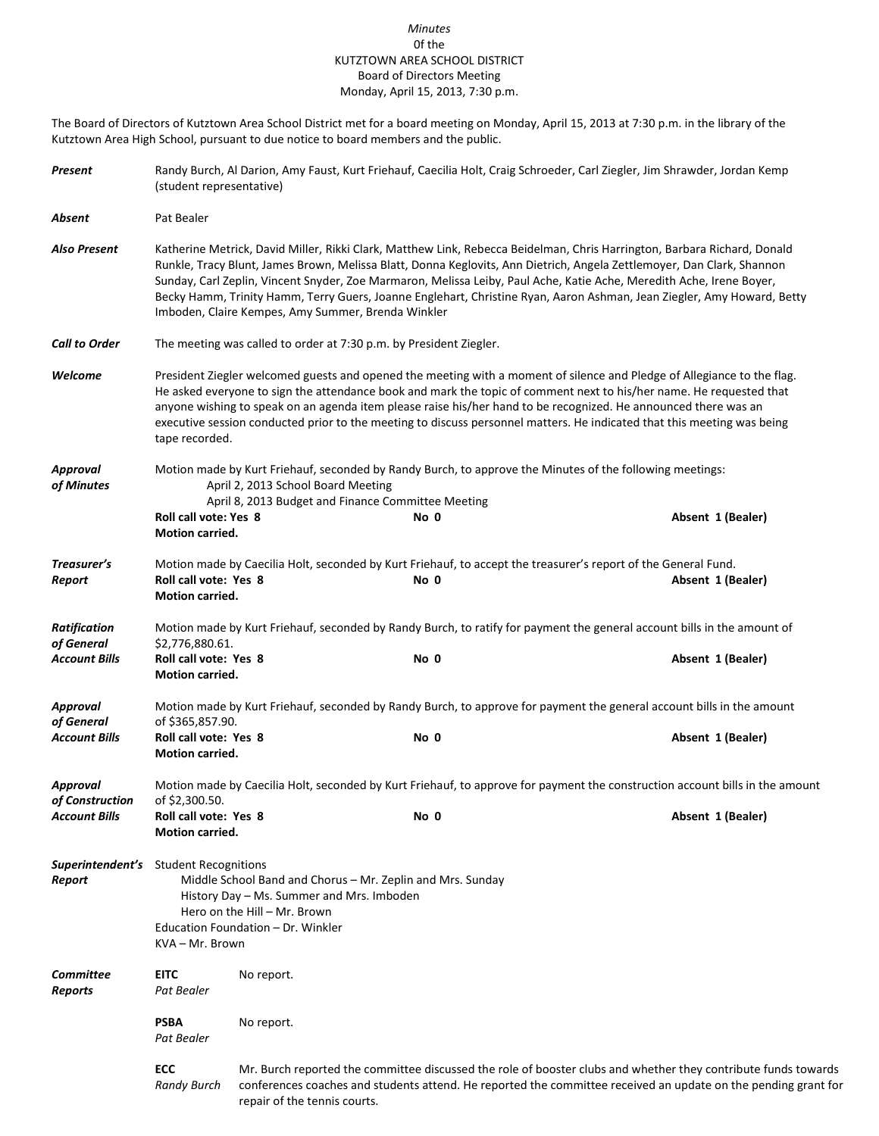## *Minutes* 0f the KUTZTOWN AREA SCHOOL DISTRICT Board of Directors Meeting Monday, April 15, 2013, 7:30 p.m.

The Board of Directors of Kutztown Area School District met for a board meeting on Monday, April 15, 2013 at 7:30 p.m. in the library of the Kutztown Area High School, pursuant to due notice to board members and the public.

| Present                            | Randy Burch, Al Darion, Amy Faust, Kurt Friehauf, Caecilia Holt, Craig Schroeder, Carl Ziegler, Jim Shrawder, Jordan Kemp<br>(student representative)                                                                                                                                                                                                                                                                                                                                                                                                      |                              |                                                                                                                        |                                                                                                                                                                                                                                  |  |  |  |
|------------------------------------|------------------------------------------------------------------------------------------------------------------------------------------------------------------------------------------------------------------------------------------------------------------------------------------------------------------------------------------------------------------------------------------------------------------------------------------------------------------------------------------------------------------------------------------------------------|------------------------------|------------------------------------------------------------------------------------------------------------------------|----------------------------------------------------------------------------------------------------------------------------------------------------------------------------------------------------------------------------------|--|--|--|
| Absent                             | Pat Bealer                                                                                                                                                                                                                                                                                                                                                                                                                                                                                                                                                 |                              |                                                                                                                        |                                                                                                                                                                                                                                  |  |  |  |
| Also Present                       | Katherine Metrick, David Miller, Rikki Clark, Matthew Link, Rebecca Beidelman, Chris Harrington, Barbara Richard, Donald<br>Runkle, Tracy Blunt, James Brown, Melissa Blatt, Donna Keglovits, Ann Dietrich, Angela Zettlemoyer, Dan Clark, Shannon<br>Sunday, Carl Zeplin, Vincent Snyder, Zoe Marmaron, Melissa Leiby, Paul Ache, Katie Ache, Meredith Ache, Irene Boyer,<br>Becky Hamm, Trinity Hamm, Terry Guers, Joanne Englehart, Christine Ryan, Aaron Ashman, Jean Ziegler, Amy Howard, Betty<br>Imboden, Claire Kempes, Amy Summer, Brenda Winkler |                              |                                                                                                                        |                                                                                                                                                                                                                                  |  |  |  |
| <b>Call to Order</b>               | The meeting was called to order at 7:30 p.m. by President Ziegler.                                                                                                                                                                                                                                                                                                                                                                                                                                                                                         |                              |                                                                                                                        |                                                                                                                                                                                                                                  |  |  |  |
| Welcome                            | President Ziegler welcomed guests and opened the meeting with a moment of silence and Pledge of Allegiance to the flag.<br>He asked everyone to sign the attendance book and mark the topic of comment next to his/her name. He requested that<br>anyone wishing to speak on an agenda item please raise his/her hand to be recognized. He announced there was an<br>executive session conducted prior to the meeting to discuss personnel matters. He indicated that this meeting was being<br>tape recorded.                                             |                              |                                                                                                                        |                                                                                                                                                                                                                                  |  |  |  |
| Approval<br>of Minutes             | Motion made by Kurt Friehauf, seconded by Randy Burch, to approve the Minutes of the following meetings:<br>April 2, 2013 School Board Meeting                                                                                                                                                                                                                                                                                                                                                                                                             |                              |                                                                                                                        |                                                                                                                                                                                                                                  |  |  |  |
|                                    | Roll call vote: Yes 8<br>Motion carried.                                                                                                                                                                                                                                                                                                                                                                                                                                                                                                                   |                              | April 8, 2013 Budget and Finance Committee Meeting<br>No 0                                                             | Absent 1 (Bealer)                                                                                                                                                                                                                |  |  |  |
| Treasurer's<br>Report              | Roll call vote: Yes 8<br>Motion carried.                                                                                                                                                                                                                                                                                                                                                                                                                                                                                                                   |                              | Motion made by Caecilia Holt, seconded by Kurt Friehauf, to accept the treasurer's report of the General Fund.<br>No 0 | Absent 1 (Bealer)                                                                                                                                                                                                                |  |  |  |
| <b>Ratification</b><br>of General  | \$2,776,880.61.                                                                                                                                                                                                                                                                                                                                                                                                                                                                                                                                            |                              |                                                                                                                        | Motion made by Kurt Friehauf, seconded by Randy Burch, to ratify for payment the general account bills in the amount of                                                                                                          |  |  |  |
| <b>Account Bills</b>               | Roll call vote: Yes 8<br>Motion carried.                                                                                                                                                                                                                                                                                                                                                                                                                                                                                                                   |                              | No 0                                                                                                                   | Absent 1 (Bealer)                                                                                                                                                                                                                |  |  |  |
| <b>Approval</b><br>of General      | of \$365,857.90.                                                                                                                                                                                                                                                                                                                                                                                                                                                                                                                                           |                              |                                                                                                                        | Motion made by Kurt Friehauf, seconded by Randy Burch, to approve for payment the general account bills in the amount                                                                                                            |  |  |  |
| <b>Account Bills</b>               | Roll call vote: Yes 8<br>Motion carried.                                                                                                                                                                                                                                                                                                                                                                                                                                                                                                                   |                              | No 0                                                                                                                   | Absent 1 (Bealer)                                                                                                                                                                                                                |  |  |  |
| <b>Approval</b><br>of Construction | Motion made by Caecilia Holt, seconded by Kurt Friehauf, to approve for payment the construction account bills in the amount<br>of \$2,300.50.                                                                                                                                                                                                                                                                                                                                                                                                             |                              |                                                                                                                        |                                                                                                                                                                                                                                  |  |  |  |
| <b>Account Bills</b>               | Roll call vote: Yes 8<br>Motion carried.                                                                                                                                                                                                                                                                                                                                                                                                                                                                                                                   |                              | No 0                                                                                                                   | Absent 1 (Bealer)                                                                                                                                                                                                                |  |  |  |
| Report                             | <b>Superintendent's</b> Student Recognitions<br>Middle School Band and Chorus - Mr. Zeplin and Mrs. Sunday<br>History Day - Ms. Summer and Mrs. Imboden<br>Hero on the Hill - Mr. Brown<br>Education Foundation - Dr. Winkler<br>KVA – Mr. Brown                                                                                                                                                                                                                                                                                                           |                              |                                                                                                                        |                                                                                                                                                                                                                                  |  |  |  |
| <b>Committee</b><br><b>Reports</b> | <b>EITC</b><br>Pat Bealer                                                                                                                                                                                                                                                                                                                                                                                                                                                                                                                                  | No report.                   |                                                                                                                        |                                                                                                                                                                                                                                  |  |  |  |
|                                    | <b>PSBA</b><br>Pat Bealer                                                                                                                                                                                                                                                                                                                                                                                                                                                                                                                                  | No report.                   |                                                                                                                        |                                                                                                                                                                                                                                  |  |  |  |
|                                    | ECC<br><b>Randy Burch</b>                                                                                                                                                                                                                                                                                                                                                                                                                                                                                                                                  | repair of the tennis courts. |                                                                                                                        | Mr. Burch reported the committee discussed the role of booster clubs and whether they contribute funds towards<br>conferences coaches and students attend. He reported the committee received an update on the pending grant for |  |  |  |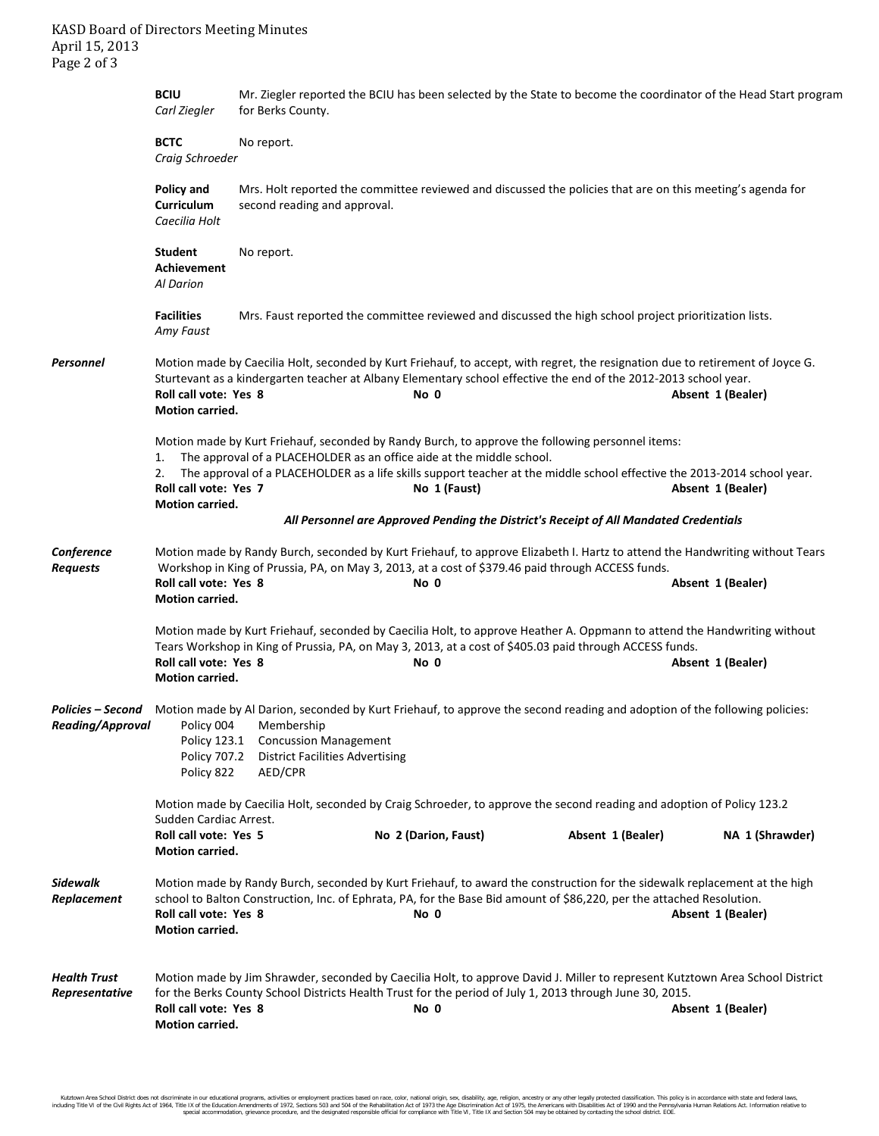|                                       | <b>BCIU</b><br>Carl Ziegler                                                                                                                                                                                                                                                                                                                                                                        | Mr. Ziegler reported the BCIU has been selected by the State to become the coordinator of the Head Start program<br>for Berks County. |                                                                                                                                                                                                                                                            |                   |                   |  |  |  |
|---------------------------------------|----------------------------------------------------------------------------------------------------------------------------------------------------------------------------------------------------------------------------------------------------------------------------------------------------------------------------------------------------------------------------------------------------|---------------------------------------------------------------------------------------------------------------------------------------|------------------------------------------------------------------------------------------------------------------------------------------------------------------------------------------------------------------------------------------------------------|-------------------|-------------------|--|--|--|
|                                       | <b>BCTC</b><br>No report.<br>Craig Schroeder                                                                                                                                                                                                                                                                                                                                                       |                                                                                                                                       |                                                                                                                                                                                                                                                            |                   |                   |  |  |  |
|                                       | Policy and<br>Curriculum<br>Caecilia Holt                                                                                                                                                                                                                                                                                                                                                          | second reading and approval.                                                                                                          | Mrs. Holt reported the committee reviewed and discussed the policies that are on this meeting's agenda for                                                                                                                                                 |                   |                   |  |  |  |
|                                       | <b>Student</b><br><b>Achievement</b><br>Al Darion                                                                                                                                                                                                                                                                                                                                                  | No report.                                                                                                                            |                                                                                                                                                                                                                                                            |                   |                   |  |  |  |
|                                       | <b>Facilities</b><br>Amy Faust                                                                                                                                                                                                                                                                                                                                                                     |                                                                                                                                       | Mrs. Faust reported the committee reviewed and discussed the high school project prioritization lists.                                                                                                                                                     |                   |                   |  |  |  |
| Personnel                             | Roll call vote: Yes 8<br>Motion carried.                                                                                                                                                                                                                                                                                                                                                           |                                                                                                                                       | Motion made by Caecilia Holt, seconded by Kurt Friehauf, to accept, with regret, the resignation due to retirement of Joyce G.<br>Sturtevant as a kindergarten teacher at Albany Elementary school effective the end of the 2012-2013 school year.<br>No 0 |                   | Absent 1 (Bealer) |  |  |  |
|                                       | Motion made by Kurt Friehauf, seconded by Randy Burch, to approve the following personnel items:<br>The approval of a PLACEHOLDER as an office aide at the middle school.<br>1.<br>The approval of a PLACEHOLDER as a life skills support teacher at the middle school effective the 2013-2014 school year.<br>2.<br>Roll call vote: Yes 7<br>No 1 (Faust)<br>Absent 1 (Bealer)<br>Motion carried. |                                                                                                                                       |                                                                                                                                                                                                                                                            |                   |                   |  |  |  |
|                                       |                                                                                                                                                                                                                                                                                                                                                                                                    |                                                                                                                                       | All Personnel are Approved Pending the District's Receipt of All Mandated Credentials                                                                                                                                                                      |                   |                   |  |  |  |
| Conference<br><b>Requests</b>         | Roll call vote: Yes 8<br>Motion carried.                                                                                                                                                                                                                                                                                                                                                           |                                                                                                                                       | Motion made by Randy Burch, seconded by Kurt Friehauf, to approve Elizabeth I. Hartz to attend the Handwriting without Tears<br>Workshop in King of Prussia, PA, on May 3, 2013, at a cost of \$379.46 paid through ACCESS funds.<br>No 0                  |                   | Absent 1 (Bealer) |  |  |  |
|                                       | Roll call vote: Yes 8<br>Motion carried.                                                                                                                                                                                                                                                                                                                                                           |                                                                                                                                       | Motion made by Kurt Friehauf, seconded by Caecilia Holt, to approve Heather A. Oppmann to attend the Handwriting without<br>Tears Workshop in King of Prussia, PA, on May 3, 2013, at a cost of \$405.03 paid through ACCESS funds.<br>No 0                |                   | Absent 1 (Bealer) |  |  |  |
|                                       | Policy 123.1<br>Policy 707.2<br>Policy 822                                                                                                                                                                                                                                                                                                                                                         | Reading/Approval Policy 004 Membership<br><b>Concussion Management</b><br><b>District Facilities Advertising</b><br>AED/CPR           | Policies - Second Motion made by Al Darion, seconded by Kurt Friehauf, to approve the second reading and adoption of the following policies:                                                                                                               |                   |                   |  |  |  |
|                                       | Sudden Cardiac Arrest.<br>Roll call vote: Yes 5<br><b>Motion carried.</b>                                                                                                                                                                                                                                                                                                                          |                                                                                                                                       | Motion made by Caecilia Holt, seconded by Craig Schroeder, to approve the second reading and adoption of Policy 123.2<br>No 2 (Darion, Faust)                                                                                                              | Absent 1 (Bealer) | NA 1 (Shrawder)   |  |  |  |
| <b>Sidewalk</b><br>Replacement        | Roll call vote: Yes 8<br>Motion carried.                                                                                                                                                                                                                                                                                                                                                           |                                                                                                                                       | Motion made by Randy Burch, seconded by Kurt Friehauf, to award the construction for the sidewalk replacement at the high<br>school to Balton Construction, Inc. of Ephrata, PA, for the Base Bid amount of \$86,220, per the attached Resolution.<br>No 0 |                   | Absent 1 (Bealer) |  |  |  |
| <b>Health Trust</b><br>Representative | Roll call vote: Yes 8<br>Motion carried.                                                                                                                                                                                                                                                                                                                                                           |                                                                                                                                       | Motion made by Jim Shrawder, seconded by Caecilia Holt, to approve David J. Miller to represent Kutztown Area School District<br>for the Berks County School Districts Health Trust for the period of July 1, 2013 through June 30, 2015.<br>No 0          |                   | Absent 1 (Bealer) |  |  |  |